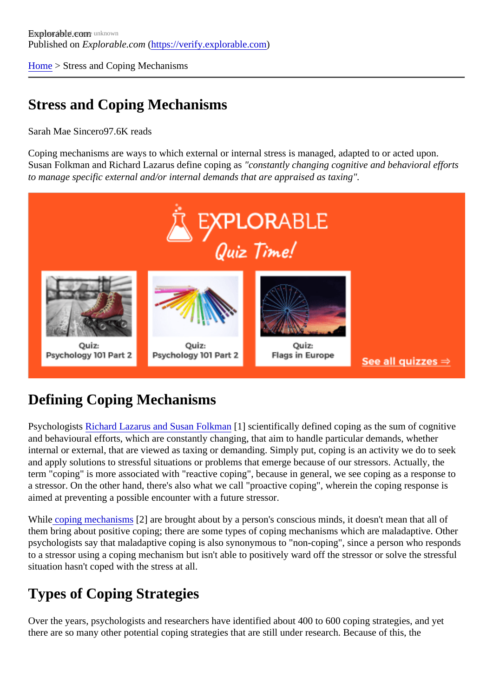[Home](https://verify.explorable.com/) > Stress and Coping Mechanisms

### Stress and Coping Mechanisms

### Sarah Mae Since 07.6K reads

Coping mechanisms are ways to which external or internal stress is managed, adapted to or acted upon. Susan Folkman and Richard Lazarus define coping an estantly changing cognitive and behavioral efforts to manage specific external and/or internal demands that are appraised as taxing".

## Defining Coping Mechanisms

Psychologist Richard Lazarus and Susan Folkman hacientifically defined coping as the sum of cognitive and behavioural efforts, which are constantly changing, that aim to handle particular demands, whether internal or external, that are viewed as taxing or demanding. Simply put, coping is an activity we do to see and apply solutions to stressful situations or problems that emerge because of our stressors. Actually, the term "coping" is more associated with "reactive coping", because in general, we see coping as a response a stressor. On the other hand, there's also what we call "proactive coping", wherein the coping response is aimed at preventing a possible encounter with a future stressor.

Whil[e coping mechanism](http://changingminds.org/explanations/behaviors/coping/coping.htm)<sup>[2]</sup> are brought about by a person's conscious minds, it doesn't mean that all of them bring about positive coping; there are some types of coping mechanisms which are maladaptive. Other psychologists say that maladaptive coping is also synonymous to "non-coping", since a person who respo to a stressor using a coping mechanism but isn't able to positively ward off the stressor or solve the stress situation hasn't coped with the stress at all.

# Types of Coping Strategies

Over the years, psychologists and researchers have identified about 400 to 600 coping strategies, and yet there are so many other potential coping strategies that are still under research. Because of this, the